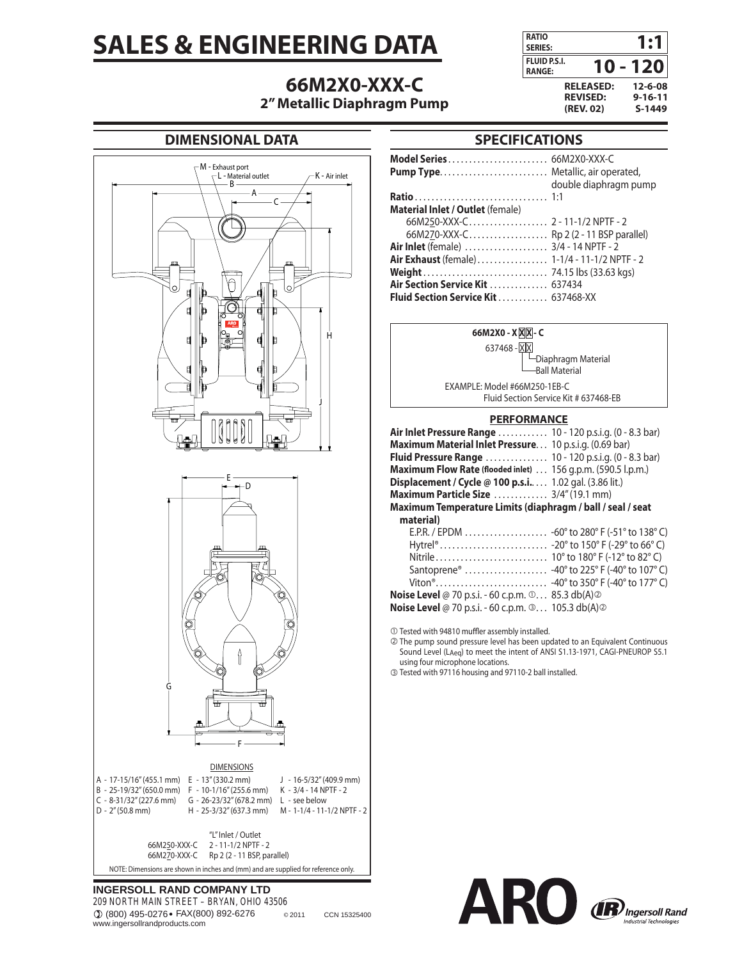# **SALES & ENGINEERING DATA**

# **66M2X0-XXX-C**



### **2" Metallic Diaphragm Pump**

### **DIMENSIONAL DATA**



#### **INGERSOLL RAND COMPANY LTD** 209 NORTH MAIN STREET – BRYAN, OHIO 43506

(800) 495-0276 FAX(800) 892-6276 © 2011 CCN 15325400 www.ingersollrandproducts.com

## **SPECIFICATIONS**

| <b>Model Series</b> 66M2X0-XXX-C             |                       |
|----------------------------------------------|-----------------------|
|                                              |                       |
|                                              | double diaphragm pump |
|                                              |                       |
| <b>Material Inlet / Outlet (female)</b>      |                       |
|                                              |                       |
| 66M270-XXX-C Rp 2 (2 - 11 BSP parallel)      |                       |
| <b>Air Inlet</b> (female)  3/4 - 14 NPTF - 2 |                       |
|                                              |                       |
|                                              |                       |
| <b>Air Section Service Kit  637434</b>       |                       |
| <b>Fluid Section Service Kit  637468-XX</b>  |                       |

| 66M2X0 - X X X - C                                                      |  |
|-------------------------------------------------------------------------|--|
| 637468 - XX                                                             |  |
| -Diaphragm Material                                                     |  |
| <b>Ball Material</b>                                                    |  |
| EXAMPLE: Model #66M250-1EB-C                                            |  |
| Fluid Section Service Kit # 637468-EB                                   |  |
| <b>PERFORMANCE</b>                                                      |  |
| Air Inlet Pressure Range  10 - 120 p.s.i.g. (0 - 8.3 bar)               |  |
| Maximum Material Inlet Pressure. 10 p.s.i.g. (0.69 bar)                 |  |
| <b>Fluid Pressure Range</b> 10 - 120 p.s.i.g. (0 - 8.3 bar)             |  |
| Maximum Flow Rate (flooded inlet) 156 g.p.m. (590.5 l.p.m.)             |  |
| <b>Displacement / Cycle @ 100 p.s.i</b> 1.02 gal. (3.86 lit.)           |  |
| Maximum Particle Size  3/4" (19.1 mm)                                   |  |
| Maximum Temperature Limits (diaphragm / ball / seal / seat              |  |
| material)                                                               |  |
|                                                                         |  |
|                                                                         |  |
|                                                                         |  |
| Santoprene <sup>®</sup> -40° to 225° F (-40° to 107° C)                 |  |
|                                                                         |  |
| <b>Noise Level</b> @ 70 p.s.i. - 60 c.p.m. $\odot$ 85.3 db(A) $\oslash$ |  |
| <b>Noise Level</b> @ 70 p.s.i. - 60 c.p.m. $\circ$ 105.3 db(A) $\circ$  |  |
|                                                                         |  |

 $\circledR$  Tested with 94810 muffler assembly installed.

d The pump sound pressure level has been updated to an Equivalent Continuous Sound Level (LAeq) to meet the intent of ANSI S1.13-1971, CAGI-PNEUROP S5.1 using four microphone locations.

e Tested with 97116 housing and 97110-2 ball installed.